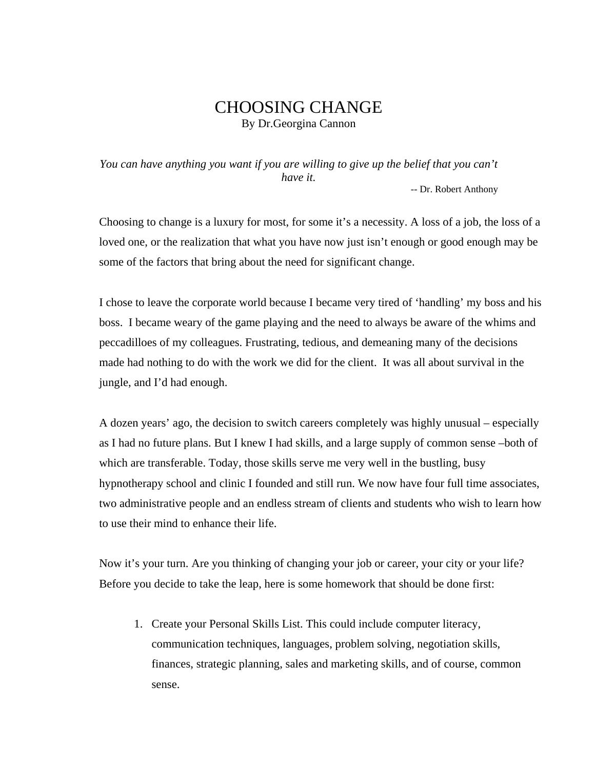## CHOOSING CHANGE By Dr.Georgina Cannon

*You can have anything you want if you are willing to give up the belief that you can't have it.*

-- Dr. Robert Anthony

Choosing to change is a luxury for most, for some it's a necessity. A loss of a job, the loss of a loved one, or the realization that what you have now just isn't enough or good enough may be some of the factors that bring about the need for significant change.

I chose to leave the corporate world because I became very tired of 'handling' my boss and his boss. I became weary of the game playing and the need to always be aware of the whims and peccadilloes of my colleagues. Frustrating, tedious, and demeaning many of the decisions made had nothing to do with the work we did for the client. It was all about survival in the jungle, and I'd had enough.

A dozen years' ago, the decision to switch careers completely was highly unusual – especially as I had no future plans. But I knew I had skills, and a large supply of common sense –both of which are transferable. Today, those skills serve me very well in the bustling, busy hypnotherapy school and clinic I founded and still run. We now have four full time associates, two administrative people and an endless stream of clients and students who wish to learn how to use their mind to enhance their life.

Now it's your turn. Are you thinking of changing your job or career, your city or your life? Before you decide to take the leap, here is some homework that should be done first:

1. Create your Personal Skills List. This could include computer literacy, communication techniques, languages, problem solving, negotiation skills, finances, strategic planning, sales and marketing skills, and of course, common sense.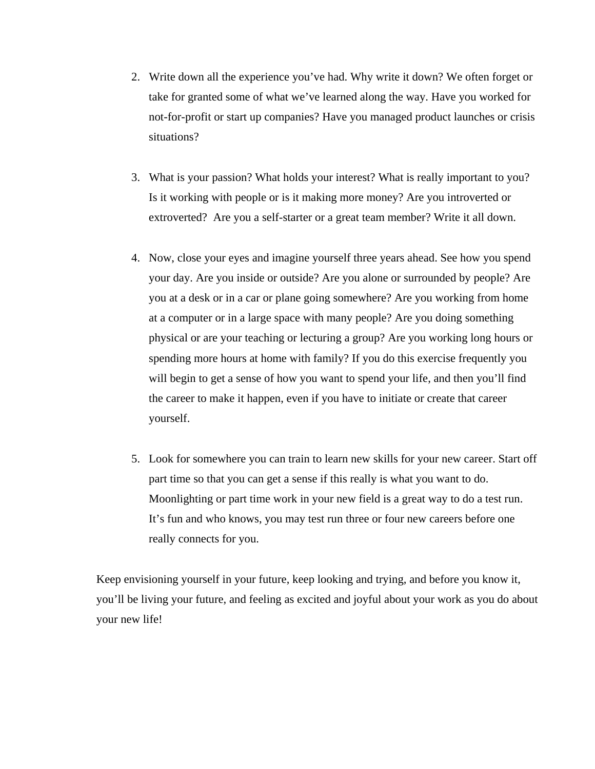- 2. Write down all the experience you've had. Why write it down? We often forget or take for granted some of what we've learned along the way. Have you worked for not-for-profit or start up companies? Have you managed product launches or crisis situations?
- 3. What is your passion? What holds your interest? What is really important to you? Is it working with people or is it making more money? Are you introverted or extroverted? Are you a self-starter or a great team member? Write it all down.
- 4. Now, close your eyes and imagine yourself three years ahead. See how you spend your day. Are you inside or outside? Are you alone or surrounded by people? Are you at a desk or in a car or plane going somewhere? Are you working from home at a computer or in a large space with many people? Are you doing something physical or are your teaching or lecturing a group? Are you working long hours or spending more hours at home with family? If you do this exercise frequently you will begin to get a sense of how you want to spend your life, and then you'll find the career to make it happen, even if you have to initiate or create that career yourself.
- 5. Look for somewhere you can train to learn new skills for your new career. Start off part time so that you can get a sense if this really is what you want to do. Moonlighting or part time work in your new field is a great way to do a test run. It's fun and who knows, you may test run three or four new careers before one really connects for you.

Keep envisioning yourself in your future, keep looking and trying, and before you know it, you'll be living your future, and feeling as excited and joyful about your work as you do about your new life!